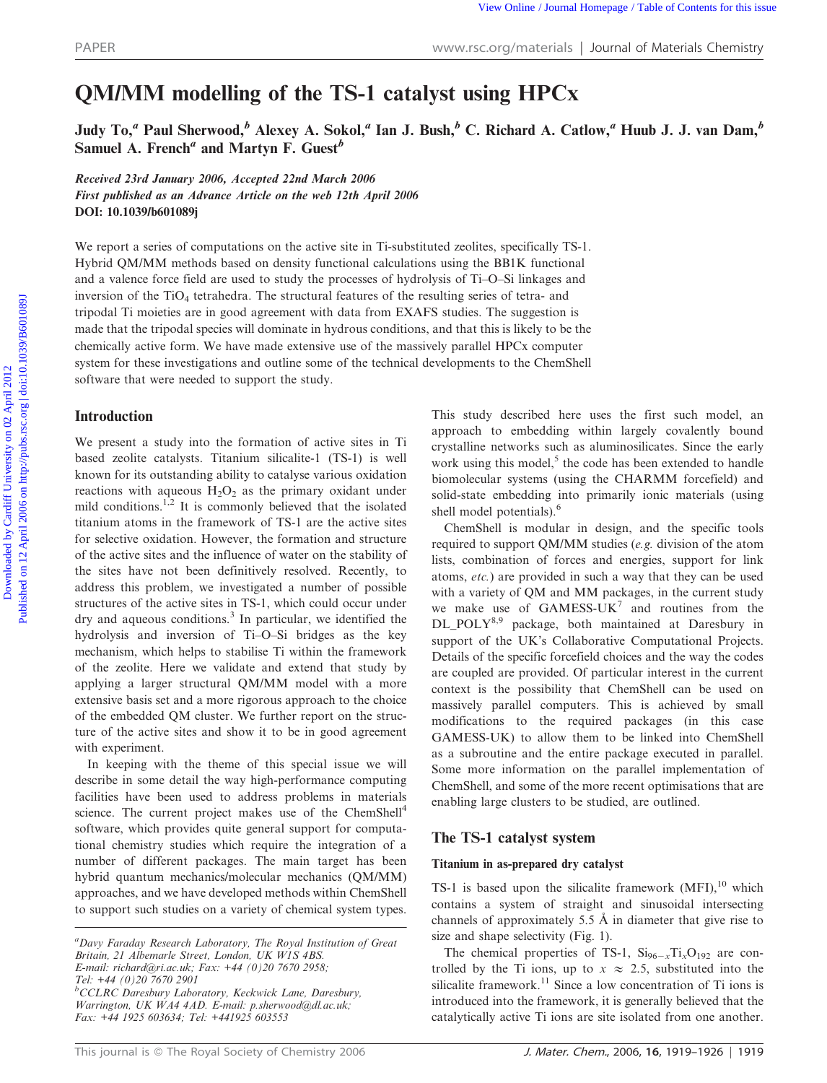# QM/MM modelling of the TS-1 catalyst using HPCx

Judy To,<sup>a</sup> Paul Sherwood,<sup>b</sup> Alexey A. Sokol,<sup>a</sup> Ian J. Bush,<sup>b</sup> C. Richard A. Catlow,<sup>a</sup> Huub J. J. van Dam,<sup>b</sup> Samuel A. French<sup>a</sup> and Martyn F. Guest<sup>b</sup>

Received 23rd January 2006, Accepted 22nd March 2006 First published as an Advance Article on the web 12th April 2006 DOI: 10.1039/b601089j

We report a series of computations on the active site in Ti-substituted zeolites, specifically TS-1. Hybrid QM/MM methods based on density functional calculations using the BB1K functional and a valence force field are used to study the processes of hydrolysis of Ti–O–Si linkages and inversion of the TiO<sub>4</sub> tetrahedra. The structural features of the resulting series of tetra- and tripodal Ti moieties are in good agreement with data from EXAFS studies. The suggestion is made that the tripodal species will dominate in hydrous conditions, and that this is likely to be the chemically active form. We have made extensive use of the massively parallel HPCx computer system for these investigations and outline some of the technical developments to the ChemShell software that were needed to support the study. PAPER<br>
EVALUATION CONTINUES OF the TS-1 catalyst using HPCx<br>
Judy To," Paul Sherwood," Alexey A. Sokol," Ian J. Bush," C. Richard A. Catlow," IIunb J. J. van Dam,"<br>
Samuel A. Freehor and Martyn R. Guest"<br>
For a particular

## Introduction

We present a study into the formation of active sites in Ti based zeolite catalysts. Titanium silicalite-1 (TS-1) is well known for its outstanding ability to catalyse various oxidation reactions with aqueous  $H_2O_2$  as the primary oxidant under mild conditions.<sup>1,2</sup> It is commonly believed that the isolated titanium atoms in the framework of TS-1 are the active sites for selective oxidation. However, the formation and structure of the active sites and the influence of water on the stability of the sites have not been definitively resolved. Recently, to address this problem, we investigated a number of possible structures of the active sites in TS-1, which could occur under  $\text{dry}$  and aqueous conditions.<sup>3</sup> In particular, we identified the hydrolysis and inversion of Ti–O–Si bridges as the key mechanism, which helps to stabilise Ti within the framework of the zeolite. Here we validate and extend that study by applying a larger structural QM/MM model with a more extensive basis set and a more rigorous approach to the choice of the embedded QM cluster. We further report on the structure of the active sites and show it to be in good agreement with experiment.

In keeping with the theme of this special issue we will describe in some detail the way high-performance computing facilities have been used to address problems in materials science. The current project makes use of the ChemShell<sup>4</sup> software, which provides quite general support for computational chemistry studies which require the integration of a number of different packages. The main target has been hybrid quantum mechanics/molecular mechanics (QM/MM) approaches, and we have developed methods within ChemShell to support such studies on a variety of chemical system types.

This study described here uses the first such model, an approach to embedding within largely covalently bound crystalline networks such as aluminosilicates. Since the early work using this model, $<sup>5</sup>$  the code has been extended to handle</sup> biomolecular systems (using the CHARMM forcefield) and solid-state embedding into primarily ionic materials (using shell model potentials).<sup>6</sup>

ChemShell is modular in design, and the specific tools required to support QM/MM studies (e.g. division of the atom lists, combination of forces and energies, support for link atoms, etc.) are provided in such a way that they can be used with a variety of QM and MM packages, in the current study we make use of  $GAMESS-UK<sup>7</sup>$  and routines from the DL\_POLY8,9 package, both maintained at Daresbury in support of the UK's Collaborative Computational Projects. Details of the specific forcefield choices and the way the codes are coupled are provided. Of particular interest in the current context is the possibility that ChemShell can be used on massively parallel computers. This is achieved by small modifications to the required packages (in this case GAMESS-UK) to allow them to be linked into ChemShell as a subroutine and the entire package executed in parallel. Some more information on the parallel implementation of ChemShell, and some of the more recent optimisations that are enabling large clusters to be studied, are outlined.

# The TS-1 catalyst system

## Titanium in as-prepared dry catalyst

TS-1 is based upon the silicalite framework  $(MFI)$ , <sup>10</sup> which contains a system of straight and sinusoidal intersecting channels of approximately 5.5  $\AA$  in diameter that give rise to size and shape selectivity (Fig. 1).

The chemical properties of TS-1,  $\text{Si}_{96-x}\text{Ti}_{x}\text{O}_{192}$  are controlled by the Ti ions, up to  $x \approx 2.5$ , substituted into the silicalite framework.<sup>11</sup> Since a low concentration of Ti ions is introduced into the framework, it is generally believed that the catalytically active Ti ions are site isolated from one another.

<sup>&</sup>lt;sup>a</sup>Davy Faraday Research Laboratory, The Royal Institution of Great Britain, 21 Albemarle Street, London, UK W1S 4BS. E-mail: richard@ri.ac.uk; Fax: +44 (0)20 7670 2958; Tel: +44 (0)20 7670 2901 <sup>b</sup>CCLRC Daresbury Laboratory, Keckwick Lane, Daresbury, Warrington, UK WA4 4AD. E-mail: p.sherwood@dl.ac.uk; Fax: +44 1925 603634; Tel: +441925 603553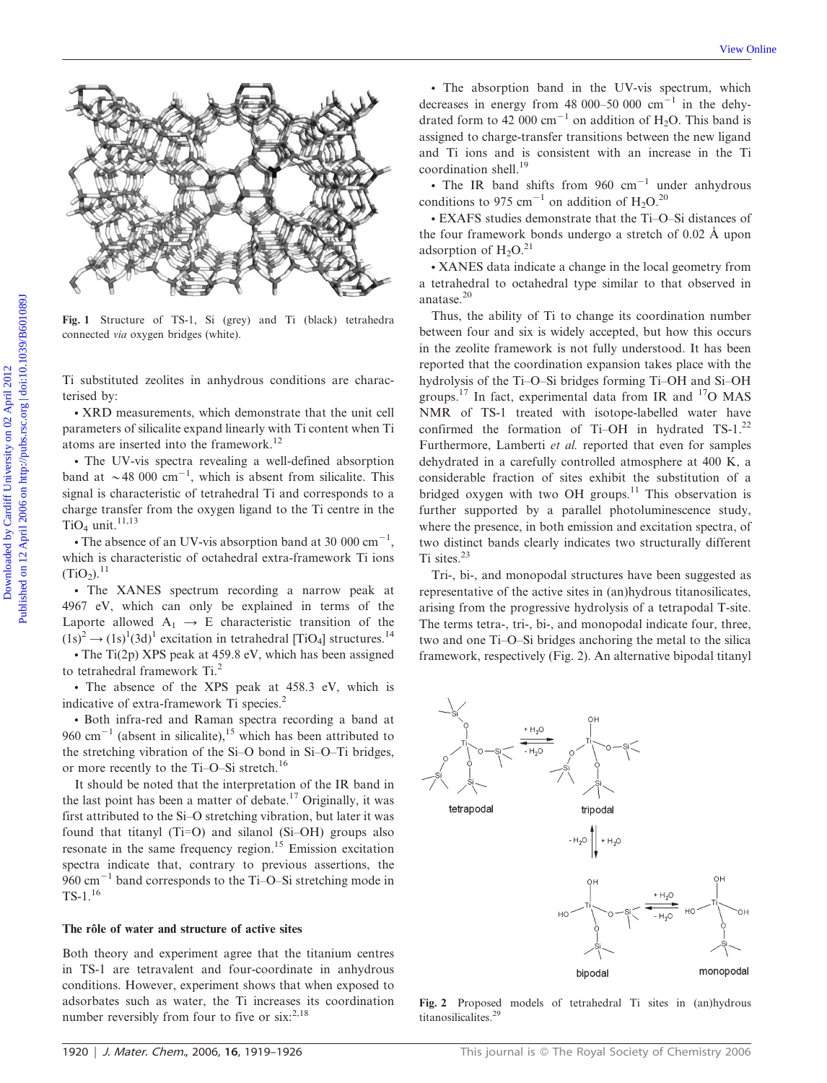

Fig. 1 Structure of TS-1, Si (grey) and Ti (black) tetrahedra connected via oxygen bridges (white).

Ti substituted zeolites in anhydrous conditions are characterised by:

• XRD measurements, which demonstrate that the unit cell parameters of silicalite expand linearly with Ti content when Ti atoms are inserted into the framework.<sup>12</sup>

• The UV-vis spectra revealing a well-defined absorption band at  $\sim$  48 000 cm<sup>-1</sup>, which is absent from silicalite. This signal is characteristic of tetrahedral Ti and corresponds to a charge transfer from the oxygen ligand to the Ti centre in the TiO<sub>4</sub> unit.<sup>11,13</sup>

• The absence of an UV-vis absorption band at 30 000  $\text{cm}^{-1}$ , which is characteristic of octahedral extra-framework Ti ions  $(TiO<sub>2</sub>)$ .<sup>11</sup>

• The XANES spectrum recording a narrow peak at 4967 eV, which can only be explained in terms of the Laporte allowed  $A_1 \rightarrow E$  characteristic transition of the  $(1s)^2 \rightarrow (1s)^1 (3d)^1$  excitation in tetrahedral [TiO<sub>4</sub>] structures.<sup>14</sup>

 $\cdot$  The Ti(2p) XPS peak at 459.8 eV, which has been assigned to tetrahedral framework Ti.<sup>2</sup>

• The absence of the XPS peak at 458.3 eV, which is indicative of extra-framework Ti species.<sup>2</sup>

• Both infra-red and Raman spectra recording a band at 960 cm<sup> $-1$ </sup> (absent in silicalite),<sup>15</sup> which has been attributed to the stretching vibration of the Si–O bond in Si–O–Ti bridges, or more recently to the Ti–O–Si stretch.<sup>16</sup>

It should be noted that the interpretation of the IR band in the last point has been a matter of debate.<sup>17</sup> Originally, it was first attributed to the Si–O stretching vibration, but later it was found that titanyl (Ti=O) and silanol (Si-OH) groups also resonate in the same frequency region.<sup>15</sup> Emission excitation spectra indicate that, contrary to previous assertions, the 960  $\text{cm}^{-1}$  band corresponds to the Ti–O–Si stretching mode in  $TS-1.16$ 

## The rôle of water and structure of active sites

Both theory and experiment agree that the titanium centres in TS-1 are tetravalent and four-coordinate in anhydrous conditions. However, experiment shows that when exposed to adsorbates such as water, the Ti increases its coordination number reversibly from four to five or  $s$ ix:<sup>2,18</sup>

• The absorption band in the UV-vis spectrum, which decreases in energy from 48 000–50 000  $cm^{-1}$  in the dehydrated form to 42 000 cm<sup>-1</sup> on addition of H<sub>2</sub>O. This band is assigned to charge-transfer transitions between the new ligand and Ti ions and is consistent with an increase in the Ti coordination shell.<sup>19</sup>

• The IR band shifts from  $960 \text{ cm}^{-1}$  under anhydrous conditions to 975 cm<sup>-1</sup> on addition of H<sub>2</sub>O.<sup>20</sup>

• EXAFS studies demonstrate that the Ti-O-Si distances of the four framework bonds undergo a stretch of 0.02 Å upon adsorption of  $H_2O.21$ 

• XANES data indicate a change in the local geometry from a tetrahedral to octahedral type similar to that observed in anatase.<sup>20</sup>

Thus, the ability of Ti to change its coordination number between four and six is widely accepted, but how this occurs in the zeolite framework is not fully understood. It has been reported that the coordination expansion takes place with the hydrolysis of the Ti–O–Si bridges forming Ti–OH and Si–OH groups.<sup>17</sup> In fact, experimental data from IR and  $^{17}O$  MAS NMR of TS-1 treated with isotope-labelled water have confirmed the formation of Ti–OH in hydrated TS-1.<sup>22</sup> Furthermore, Lamberti et al. reported that even for samples dehydrated in a carefully controlled atmosphere at 400 K, a considerable fraction of sites exhibit the substitution of a bridged oxygen with two OH groups.<sup>11</sup> This observation is further supported by a parallel photoluminescence study, where the presence, in both emission and excitation spectra, of two distinct bands clearly indicates two structurally different Ti sites.<sup>23</sup>

Tri-, bi-, and monopodal structures have been suggested as representative of the active sites in (an)hydrous titanosilicates, arising from the progressive hydrolysis of a tetrapodal T-site. The terms tetra-, tri-, bi-, and monopodal indicate four, three, two and one Ti–O–Si bridges anchoring the metal to the silica framework, respectively (Fig. 2). An alternative bipodal titanyl



Fig. 2 Proposed models of tetrahedral Ti sites in (an)hydrous titanosilicalites.29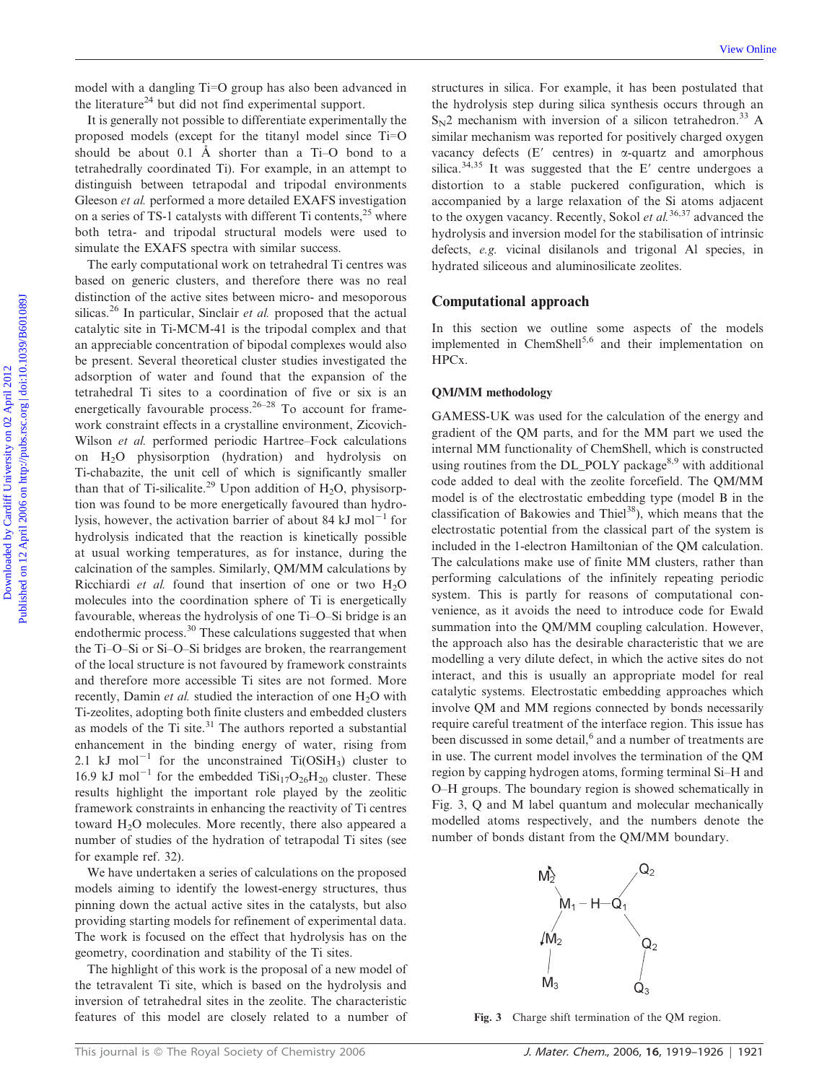model with a dangling Ti=O group has also been advanced in the literature<sup>24</sup> but did not find experimental support.

It is generally not possible to differentiate experimentally the proposed models (except for the titanyl model since  $Ti=O$ should be about 0.1 Å shorter than a  $Ti-O$  bond to a tetrahedrally coordinated Ti). For example, in an attempt to distinguish between tetrapodal and tripodal environments Gleeson et al. performed a more detailed EXAFS investigation on a series of TS-1 catalysts with different Ti contents, $2<sup>5</sup>$  where both tetra- and tripodal structural models were used to simulate the EXAFS spectra with similar success.

The early computational work on tetrahedral Ti centres was based on generic clusters, and therefore there was no real distinction of the active sites between micro- and mesoporous silicas.<sup>26</sup> In particular, Sinclair *et al.* proposed that the actual catalytic site in Ti-MCM-41 is the tripodal complex and that an appreciable concentration of bipodal complexes would also be present. Several theoretical cluster studies investigated the adsorption of water and found that the expansion of the tetrahedral Ti sites to a coordination of five or six is an energetically favourable process.<sup>26–28</sup> To account for framework constraint effects in a crystalline environment, Zicovich-Wilson et al. performed periodic Hartree–Fock calculations on H2O physisorption (hydration) and hydrolysis on Ti-chabazite, the unit cell of which is significantly smaller than that of Ti-silicalite.<sup>29</sup> Upon addition of H<sub>2</sub>O, physisorption was found to be more energetically favoured than hydrolysis, however, the activation barrier of about 84 kJ mol<sup> $-1$ </sup> for hydrolysis indicated that the reaction is kinetically possible at usual working temperatures, as for instance, during the calcination of the samples. Similarly, QM/MM calculations by Ricchiardi et al. found that insertion of one or two  $H_2O$ molecules into the coordination sphere of Ti is energetically favourable, whereas the hydrolysis of one Ti–O–Si bridge is an endothermic process.<sup>30</sup> These calculations suggested that when the Ti–O–Si or Si–O–Si bridges are broken, the rearrangement of the local structure is not favoured by framework constraints and therefore more accessible Ti sites are not formed. More recently, Damin et al. studied the interaction of one  $H_2O$  with Ti-zeolites, adopting both finite clusters and embedded clusters as models of the Ti site. $31$  The authors reported a substantial enhancement in the binding energy of water, rising from 2.1 kJ mol<sup>-1</sup> for the unconstrained Ti(OSiH<sub>3</sub>) cluster to 16.9 kJ mol<sup>-1</sup> for the embedded TiSi<sub>17</sub>O<sub>26</sub>H<sub>20</sub> cluster. These results highlight the important role played by the zeolitic framework constraints in enhancing the reactivity of Ti centres toward H2O molecules. More recently, there also appeared a number of studies of the hydration of tetrapodal Ti sites (see for example ref. 32). Download with a duarging TTO group has also been advanced in structures in silice, For example, it has been positive of the Rief and the Rief and the Systems of the stress of a stress of a stress of a stress of a stress of

We have undertaken a series of calculations on the proposed models aiming to identify the lowest-energy structures, thus pinning down the actual active sites in the catalysts, but also providing starting models for refinement of experimental data. The work is focused on the effect that hydrolysis has on the geometry, coordination and stability of the Ti sites.

The highlight of this work is the proposal of a new model of the tetravalent Ti site, which is based on the hydrolysis and inversion of tetrahedral sites in the zeolite. The characteristic features of this model are closely related to a number of

structures in silica. For example, it has been postulated that the hydrolysis step during silica synthesis occurs through an  $S_N$ 2 mechanism with inversion of a silicon tetrahedron.<sup>33</sup> A similar mechanism was reported for positively charged oxygen vacancy defects  $(E'$  centres) in  $\alpha$ -quartz and amorphous silica. $34,35$  It was suggested that the E' centre undergoes a distortion to a stable puckered configuration, which is accompanied by a large relaxation of the Si atoms adjacent to the oxygen vacancy. Recently, Sokol et  $al$ <sup>36,37</sup> advanced the hydrolysis and inversion model for the stabilisation of intrinsic defects, e.g. vicinal disilanols and trigonal Al species, in hydrated siliceous and aluminosilicate zeolites.

#### Computational approach

In this section we outline some aspects of the models implemented in ChemShell<sup>5,6</sup> and their implementation on HPCx.

#### QM/MM methodology

GAMESS-UK was used for the calculation of the energy and gradient of the QM parts, and for the MM part we used the internal MM functionality of ChemShell, which is constructed using routines from the DL\_POLY package<sup>8,9</sup> with additional code added to deal with the zeolite forcefield. The QM/MM model is of the electrostatic embedding type (model B in the classification of Bakowies and Thiel<sup>38</sup>), which means that the electrostatic potential from the classical part of the system is included in the 1-electron Hamiltonian of the QM calculation. The calculations make use of finite MM clusters, rather than performing calculations of the infinitely repeating periodic system. This is partly for reasons of computational convenience, as it avoids the need to introduce code for Ewald summation into the QM/MM coupling calculation. However, the approach also has the desirable characteristic that we are modelling a very dilute defect, in which the active sites do not interact, and this is usually an appropriate model for real catalytic systems. Electrostatic embedding approaches which involve QM and MM regions connected by bonds necessarily require careful treatment of the interface region. This issue has been discussed in some detail,<sup>6</sup> and a number of treatments are in use. The current model involves the termination of the QM region by capping hydrogen atoms, forming terminal Si–H and O–H groups. The boundary region is showed schematically in Fig. 3, Q and M label quantum and molecular mechanically modelled atoms respectively, and the numbers denote the number of bonds distant from the QM/MM boundary.



Fig. 3 Charge shift termination of the QM region.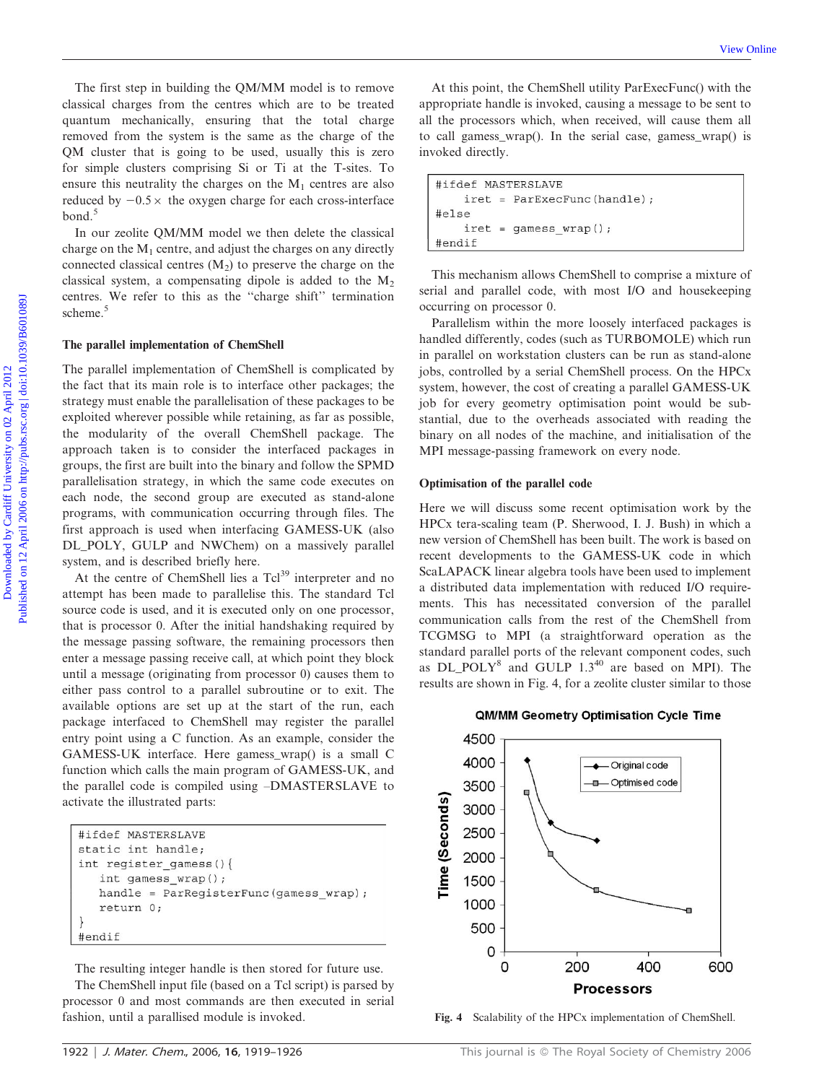The first step in building the QM/MM model is to remove classical charges from the centres which are to be treated quantum mechanically, ensuring that the total charge removed from the system is the same as the charge of the QM cluster that is going to be used, usually this is zero for simple clusters comprising Si or Ti at the T-sites. To ensure this neutrality the charges on the  $M_1$  centres are also reduced by  $-0.5 \times$  the oxygen charge for each cross-interface bond.<sup>5</sup>

In our zeolite QM/MM model we then delete the classical charge on the  $M_1$  centre, and adjust the charges on any directly connected classical centres  $(M_2)$  to preserve the charge on the classical system, a compensating dipole is added to the  $M<sub>2</sub>$ centres. We refer to this as the ''charge shift'' termination scheme.<sup>5</sup>

#### The parallel implementation of ChemShell

The parallel implementation of ChemShell is complicated by the fact that its main role is to interface other packages; the strategy must enable the parallelisation of these packages to be exploited wherever possible while retaining, as far as possible, the modularity of the overall ChemShell package. The approach taken is to consider the interfaced packages in groups, the first are built into the binary and follow the SPMD parallelisation strategy, in which the same code executes on each node, the second group are executed as stand-alone programs, with communication occurring through files. The first approach is used when interfacing GAMESS-UK (also DL\_POLY, GULP and NWChem) on a massively parallel system, and is described briefly here. The first step in building the QMMM model is to remove<br>
classical charges from the contras which are to be treated a proportize handle is involved, searches a contrast on the pressure which, when rerested with the contras

At the centre of ChemShell lies a Tcl<sup>39</sup> interpreter and no attempt has been made to parallelise this. The standard Tcl source code is used, and it is executed only on one processor, that is processor 0. After the initial handshaking required by the message passing software, the remaining processors then enter a message passing receive call, at which point they block until a message (originating from processor 0) causes them to either pass control to a parallel subroutine or to exit. The available options are set up at the start of the run, each package interfaced to ChemShell may register the parallel entry point using a C function. As an example, consider the GAMESS-UK interface. Here gamess\_wrap() is a small C function which calls the main program of GAMESS-UK, and the parallel code is compiled using –DMASTERSLAVE to activate the illustrated parts:

```
#ifdef MASTERSLAVE
static int handle:
int register_gamess(){
   int gamess_wrap();
   handle = ParRegisterFunc(gamess_wrap);
   return 0;
\{#endif
```
The resulting integer handle is then stored for future use. The ChemShell input file (based on a Tcl script) is parsed by processor 0 and most commands are then executed in serial fashion, until a parallised module is invoked.

At this point, the ChemShell utility ParExecFunc() with the appropriate handle is invoked, causing a message to be sent to all the processors which, when received, will cause them all to call gamess\_wrap(). In the serial case, gamess\_wrap() is invoked directly.

This mechanism allows ChemShell to comprise a mixture of serial and parallel code, with most I/O and housekeeping occurring on processor 0.

Parallelism within the more loosely interfaced packages is handled differently, codes (such as TURBOMOLE) which run in parallel on workstation clusters can be run as stand-alone jobs, controlled by a serial ChemShell process. On the HPCx system, however, the cost of creating a parallel GAMESS-UK job for every geometry optimisation point would be substantial, due to the overheads associated with reading the binary on all nodes of the machine, and initialisation of the MPI message-passing framework on every node.

#### Optimisation of the parallel code

Here we will discuss some recent optimisation work by the HPCx tera-scaling team (P. Sherwood, I. J. Bush) in which a new version of ChemShell has been built. The work is based on recent developments to the GAMESS-UK code in which ScaLAPACK linear algebra tools have been used to implement a distributed data implementation with reduced I/O requirements. This has necessitated conversion of the parallel communication calls from the rest of the ChemShell from TCGMSG to MPI (a straightforward operation as the standard parallel ports of the relevant component codes, such as DL POLY $8$  and GULP 1.3<sup>40</sup> are based on MPI). The results are shown in Fig. 4, for a zeolite cluster similar to those

#### QM/MM Geometry Optimisation Cycle Time



Fig. 4 Scalability of the HPCx implementation of ChemShell.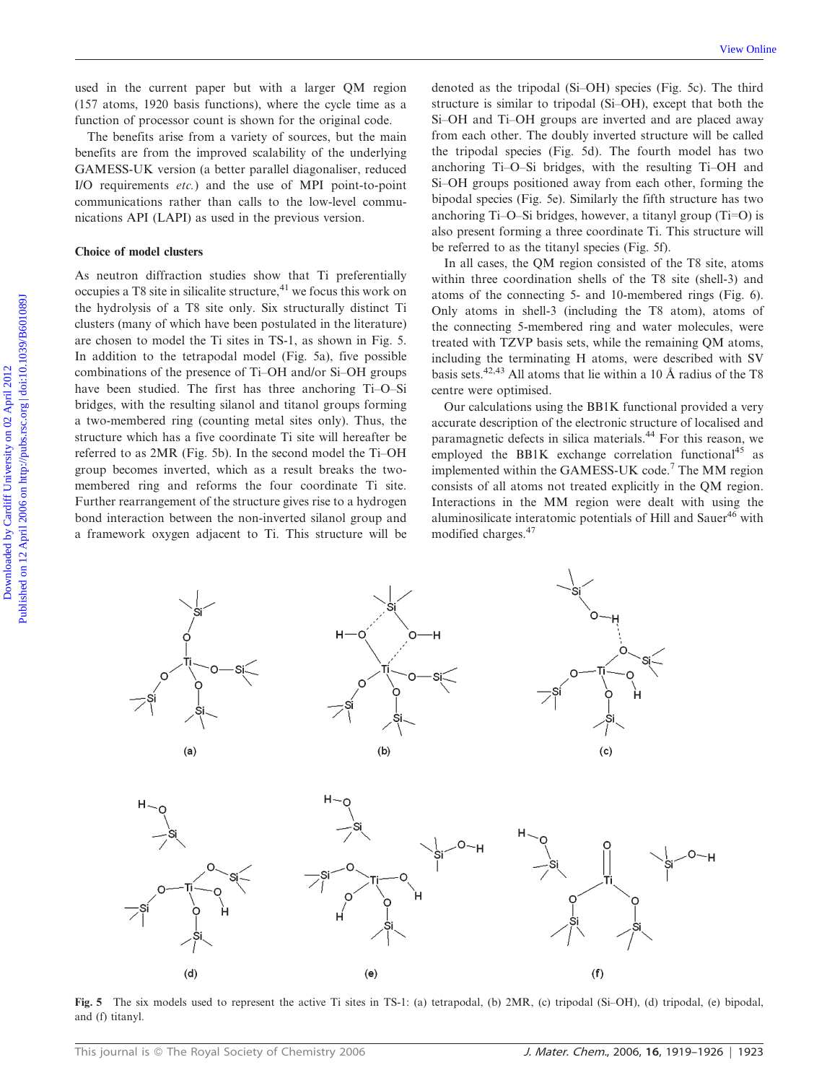used in the current paper but with a larger QM region (157 atoms, 1920 basis functions), where the cycle time as a function of processor count is shown for the original code.

The benefits arise from a variety of sources, but the main benefits are from the improved scalability of the underlying GAMESS-UK version (a better parallel diagonaliser, reduced I/O requirements etc.) and the use of MPI point-to-point communications rather than calls to the low-level communications API (LAPI) as used in the previous version.

#### Choice of model clusters

As neutron diffraction studies show that Ti preferentially occupies a T8 site in silicalite structure, $41$  we focus this work on the hydrolysis of a T8 site only. Six structurally distinct Ti clusters (many of which have been postulated in the literature) are chosen to model the Ti sites in TS-1, as shown in Fig. 5. In addition to the tetrapodal model (Fig. 5a), five possible combinations of the presence of Ti–OH and/or Si–OH groups have been studied. The first has three anchoring Ti–O–Si bridges, with the resulting silanol and titanol groups forming a two-membered ring (counting metal sites only). Thus, the structure which has a five coordinate Ti site will hereafter be referred to as 2MR (Fig. 5b). In the second model the Ti–OH group becomes inverted, which as a result breaks the twomembered ring and reforms the four coordinate Ti site. Further rearrangement of the structure gives rise to a hydrogen bond interaction between the non-inverted silanol group and a framework oxygen adjacent to Ti. This structure will be Used in the current paper bot with a larger QM region denoted as the cripodal (Si-OH) species (Fig. 5:1 The third including the system controls with the original code. Si-OH and Ti-OH groups are inversited and are showed b

denoted as the tripodal (Si–OH) species (Fig. 5c). The third structure is similar to tripodal (Si–OH), except that both the Si–OH and Ti–OH groups are inverted and are placed away from each other. The doubly inverted structure will be called the tripodal species (Fig. 5d). The fourth model has two anchoring Ti–O–Si bridges, with the resulting Ti–OH and Si–OH groups positioned away from each other, forming the bipodal species (Fig. 5e). Similarly the fifth structure has two anchoring Ti–O–Si bridges, however, a titanyl group  $(T_i=O)$  is also present forming a three coordinate Ti. This structure will be referred to as the titanyl species (Fig. 5f).

In all cases, the QM region consisted of the T8 site, atoms within three coordination shells of the T8 site (shell-3) and atoms of the connecting 5- and 10-membered rings (Fig. 6). Only atoms in shell-3 (including the T8 atom), atoms of the connecting 5-membered ring and water molecules, were treated with TZVP basis sets, while the remaining QM atoms, including the terminating H atoms, were described with SV basis sets.<sup>42,43</sup> All atoms that lie within a 10 Å radius of the T8 centre were optimised.

Our calculations using the BB1K functional provided a very accurate description of the electronic structure of localised and paramagnetic defects in silica materials.<sup>44</sup> For this reason, we employed the BB1K exchange correlation functional<sup>45</sup> as implemented within the GAMESS-UK code.<sup>7</sup> The MM region consists of all atoms not treated explicitly in the QM region. Interactions in the MM region were dealt with using the aluminosilicate interatomic potentials of Hill and Sauer<sup>46</sup> with modified charges.<sup>47</sup>



Fig. 5 The six models used to represent the active Ti sites in TS-1: (a) tetrapodal, (b) 2MR, (c) tripodal (Si–OH), (d) tripodal, (e) bipodal, and (f) titanyl.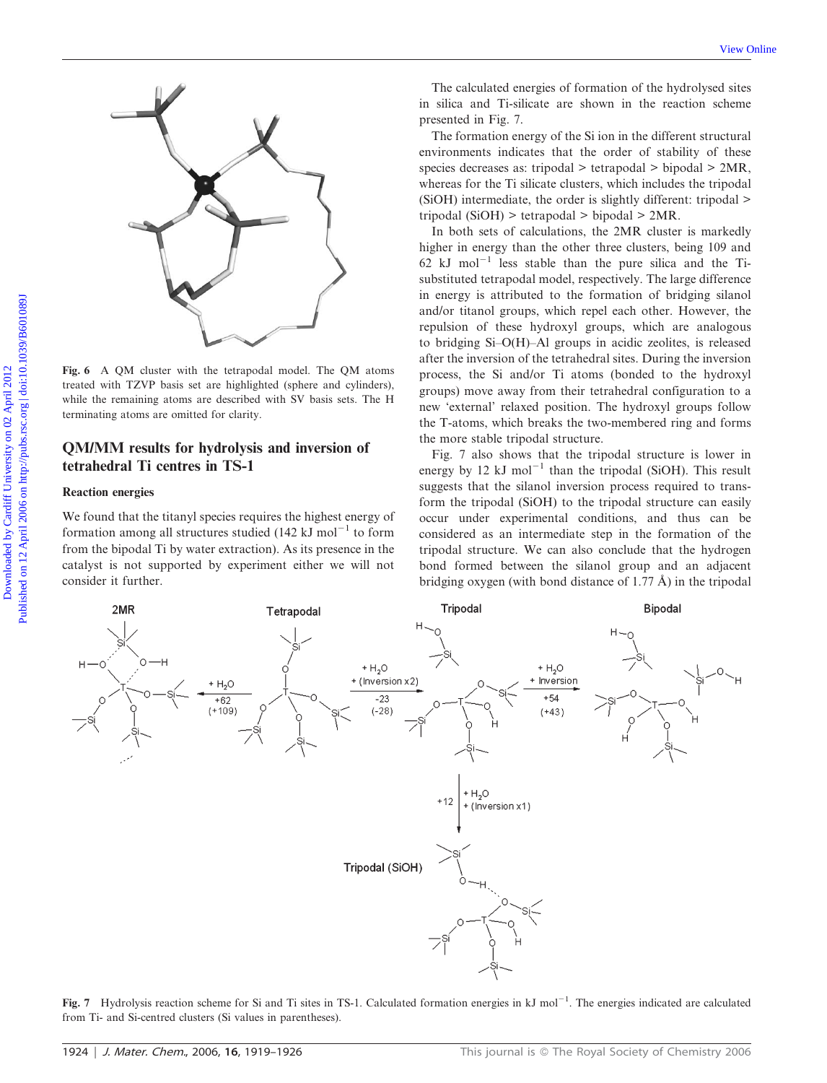

Fig. 6 A QM cluster with the tetrapodal model. The QM atoms treated with TZVP basis set are highlighted (sphere and cylinders), while the remaining atoms are described with SV basis sets. The H terminating atoms are omitted for clarity.

# QM/MM results for hydrolysis and inversion of tetrahedral Ti centres in TS-1

## Reaction energies

We found that the titanyl species requires the highest energy of formation among all structures studied (142 kJ mol<sup>-1</sup> to form from the bipodal Ti by water extraction). As its presence in the catalyst is not supported by experiment either we will not consider it further.

The calculated energies of formation of the hydrolysed sites in silica and Ti-silicate are shown in the reaction scheme presented in Fig. 7.

The formation energy of the Si ion in the different structural environments indicates that the order of stability of these species decreases as: tripodal > tetrapodal > bipodal > 2MR, whereas for the Ti silicate clusters, which includes the tripodal (SiOH) intermediate, the order is slightly different: tripodal > tripodal (SiOH) > tetrapodal > bipodal > 2MR.

In both sets of calculations, the 2MR cluster is markedly higher in energy than the other three clusters, being 109 and 62 kJ mol<sup>-1</sup> less stable than the pure silica and the Tisubstituted tetrapodal model, respectively. The large difference in energy is attributed to the formation of bridging silanol and/or titanol groups, which repel each other. However, the repulsion of these hydroxyl groups, which are analogous to bridging Si–O(H)–Al groups in acidic zeolites, is released after the inversion of the tetrahedral sites. During the inversion process, the Si and/or Ti atoms (bonded to the hydroxyl groups) move away from their tetrahedral configuration to a new 'external' relaxed position. The hydroxyl groups follow the T-atoms, which breaks the two-membered ring and forms the more stable tripodal structure.

Fig. 7 also shows that the tripodal structure is lower in energy by 12 kJ mol<sup>-1</sup> than the tripodal (SiOH). This result suggests that the silanol inversion process required to transform the tripodal (SiOH) to the tripodal structure can easily occur under experimental conditions, and thus can be considered as an intermediate step in the formation of the tripodal structure. We can also conclude that the hydrogen bond formed between the silanol group and an adjacent bridging oxygen (with bond distance of 1.77  $\AA$ ) in the tripodal



Fig. 7 Hydrolysis reaction scheme for Si and Ti sites in TS-1. Calculated formation energies in  $kJ$  mol<sup>-1</sup>. The energies indicated are calculated from Ti- and Si-centred clusters (Si values in parentheses).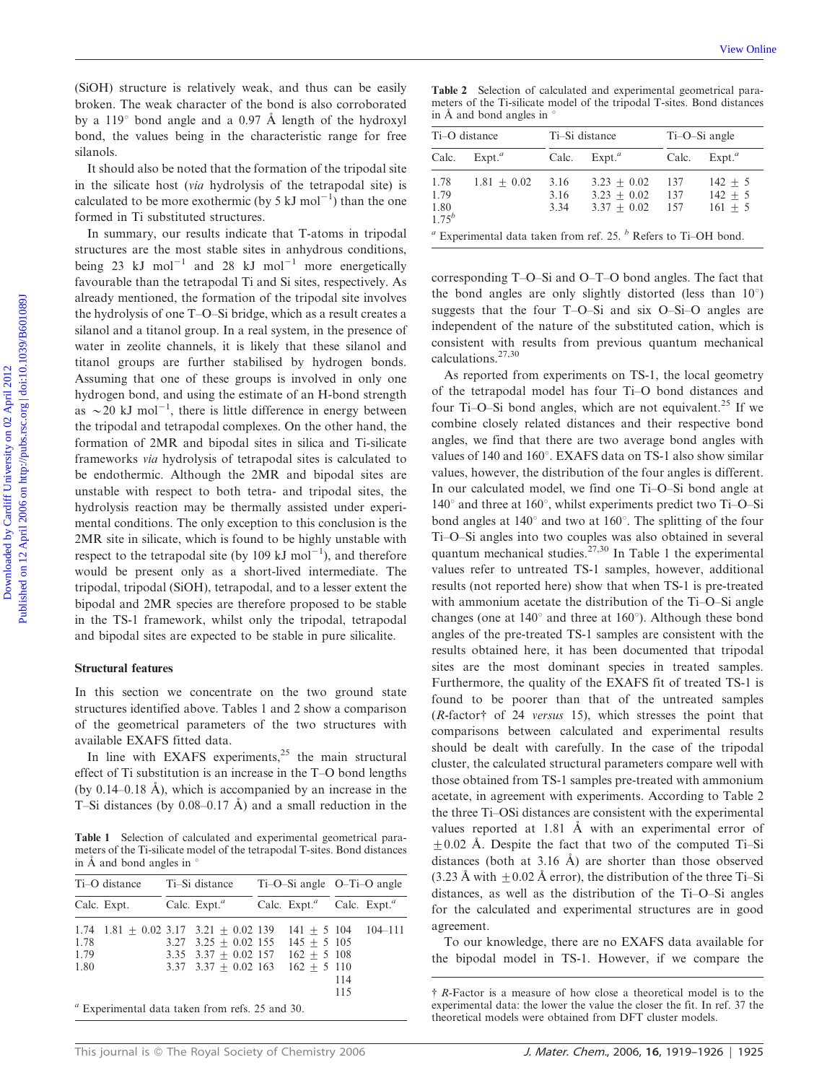(SiOH) structure is relatively weak, and thus can be easily broken. The weak character of the bond is also corroborated by a  $119^{\circ}$  bond angle and a 0.97 Å length of the hydroxyl bond, the values being in the characteristic range for free silanols.

It should also be noted that the formation of the tripodal site in the silicate host (via hydrolysis of the tetrapodal site) is calculated to be more exothermic (by 5 kJ mol<sup>-1</sup>) than the one formed in Ti substituted structures.

In summary, our results indicate that T-atoms in tripodal structures are the most stable sites in anhydrous conditions, being 23 kJ mol<sup>-1</sup> and 28 kJ mol<sup>-1</sup> more energetically favourable than the tetrapodal Ti and Si sites, respectively. As already mentioned, the formation of the tripodal site involves the hydrolysis of one T–O–Si bridge, which as a result creates a silanol and a titanol group. In a real system, in the presence of water in zeolite channels, it is likely that these silanol and titanol groups are further stabilised by hydrogen bonds. Assuming that one of these groups is involved in only one hydrogen bond, and using the estimate of an H-bond strength as  $\sim$  20 kJ mol<sup>-1</sup>, there is little difference in energy between the tripodal and tetrapodal complexes. On the other hand, the formation of 2MR and bipodal sites in silica and Ti-silicate frameworks via hydrolysis of tetrapodal sites is calculated to be endothermic. Although the 2MR and bipodal sites are unstable with respect to both tetra- and tripodal sites, the hydrolysis reaction may be thermally assisted under experimental conditions. The only exception to this conclusion is the 2MR site in silicate, which is found to be highly unstable with respect to the tetrapodal site (by 109 kJ mol<sup> $-1$ </sup>), and therefore would be present only as a short-lived intermediate. The tripodal, tripodal (SiOH), tetrapodal, and to a lesser extent the bipodal and 2MR species are therefore proposed to be stable in the TS-1 framework, whilst only the tripodal, tetrapodal and bipodal sites are expected to be stable in pure silicalite. CSOH) structure is relatively weak, and thus can be easily Table 2 Selection of calculated and representations by a 119 bost can conclude the hydroxical material published on the conclusion of the basis of the conclusion

#### Structural features

In this section we concentrate on the two ground state structures identified above. Tables 1 and 2 show a comparison of the geometrical parameters of the two structures with available EXAFS fitted data.

In line with EXAFS experiments, $25$  the main structural effect of Ti substitution is an increase in the T–O bond lengths (by  $0.14-0.18$  Å), which is accompanied by an increase in the T–Si distances (by  $0.08-0.17$  Å) and a small reduction in the

Table 1 Selection of calculated and experimental geometrical parameters of the Ti-silicate model of the tetrapodal T-sites. Bond distances in Å and bond angles in

| Ti-O distance                                     |                                           | Ti-Si distance |                                                                                                            | $Ti-O-Si$ angle $O-Ti-O$ angle |                                                                 |            |  |  |  |
|---------------------------------------------------|-------------------------------------------|----------------|------------------------------------------------------------------------------------------------------------|--------------------------------|-----------------------------------------------------------------|------------|--|--|--|
|                                                   | Calc. Expt.                               |                | Calc. $Expt.^{a}$                                                                                          |                                | Calc. Expt. <sup><i>a</i></sup> Calc. Expt. <sup><i>a</i></sup> |            |  |  |  |
| 1.78<br>1.79<br>1.80                              | $1.74$ $1.81$ + 0.02 3.17 3.21 + 0.02 139 |                | $3.27$ $3.25 + 0.02$ 155<br>$3.35$ $3.37 + 0.02$ 157 $162 + 5$ 108<br>$3.37$ $3.37$ + 0.02 163 162 + 5 110 |                                | $141 + 5$ 104 104-111<br>$145 + 5105$                           | 114<br>115 |  |  |  |
| $a$ Experimental data taken from refs. 25 and 30. |                                           |                |                                                                                                            |                                |                                                                 |            |  |  |  |

Table 2 Selection of calculated and experimental geometrical parameters of the Ti-silicate model of the tripodal T-sites. Bond distances in Å and bond angles in

| Ti-O distance                                                       |                    |                      | Ti-Si distance                                  | Ti-O-Si angle     |                                     |  |  |  |
|---------------------------------------------------------------------|--------------------|----------------------|-------------------------------------------------|-------------------|-------------------------------------|--|--|--|
| Calc.                                                               | Expt. <sup>a</sup> | Calc.                | Expt. <sup>a</sup>                              | Calc.             | Expt. <sup>a</sup>                  |  |  |  |
| 1.78<br>1.79<br>1.80<br>$1.75^{b}$                                  | $1.81 + 0.02$      | 3.16<br>3.16<br>3.34 | $3.23 + 0.02$<br>$3.23 + 0.02$<br>$3.37 + 0.02$ | 137<br>137<br>157 | $142 + 5$<br>$142 + 5$<br>$161 + 5$ |  |  |  |
| $a$ Experimental data taken from ref. 25. $b$ Refers to Ti-OH bond. |                    |                      |                                                 |                   |                                     |  |  |  |

corresponding T–O–Si and O–T–O bond angles. The fact that the bond angles are only slightly distorted (less than  $10^{\circ}$ ) suggests that the four T–O–Si and six O–Si–O angles are independent of the nature of the substituted cation, which is consistent with results from previous quantum mechanical calculations.27,30

As reported from experiments on TS-1, the local geometry of the tetrapodal model has four Ti–O bond distances and four Ti–O–Si bond angles, which are not equivalent.<sup>25</sup> If we combine closely related distances and their respective bond angles, we find that there are two average bond angles with values of 140 and  $160^\circ$ . EXAFS data on TS-1 also show similar values, however, the distribution of the four angles is different. In our calculated model, we find one Ti–O–Si bond angle at  $140^\circ$  and three at  $160^\circ$ , whilst experiments predict two Ti–O–Si bond angles at  $140^\circ$  and two at  $160^\circ$ . The splitting of the four Ti–O–Si angles into two couples was also obtained in several quantum mechanical studies. $27,30$  In Table 1 the experimental values refer to untreated TS-1 samples, however, additional results (not reported here) show that when TS-1 is pre-treated with ammonium acetate the distribution of the Ti–O–Si angle changes (one at  $140^{\circ}$  and three at  $160^{\circ}$ ). Although these bond angles of the pre-treated TS-1 samples are consistent with the results obtained here, it has been documented that tripodal sites are the most dominant species in treated samples. Furthermore, the quality of the EXAFS fit of treated TS-1 is found to be poorer than that of the untreated samples ( $R$ -factor $\dagger$  of 24 versus 15), which stresses the point that comparisons between calculated and experimental results should be dealt with carefully. In the case of the tripodal cluster, the calculated structural parameters compare well with those obtained from TS-1 samples pre-treated with ammonium acetate, in agreement with experiments. According to Table 2 the three Ti–OSi distances are consistent with the experimental values reported at 1.81 Å with an experimental error of  $\pm 0.02$  Å. Despite the fact that two of the computed Ti–Si distances (both at 3.16 Å) are shorter than those observed  $(3.23 \text{ Å with } +0.02 \text{ Å error})$ , the distribution of the three Ti–Si distances, as well as the distribution of the Ti–O–Si angles for the calculated and experimental structures are in good agreement.

To our knowledge, there are no EXAFS data available for the bipodal model in TS-1. However, if we compare the

 $\dagger$  R-Factor is a measure of how close a theoretical model is to the experimental data: the lower the value the closer the fit. In ref. 37 the theoretical models were obtained from DFT cluster models.